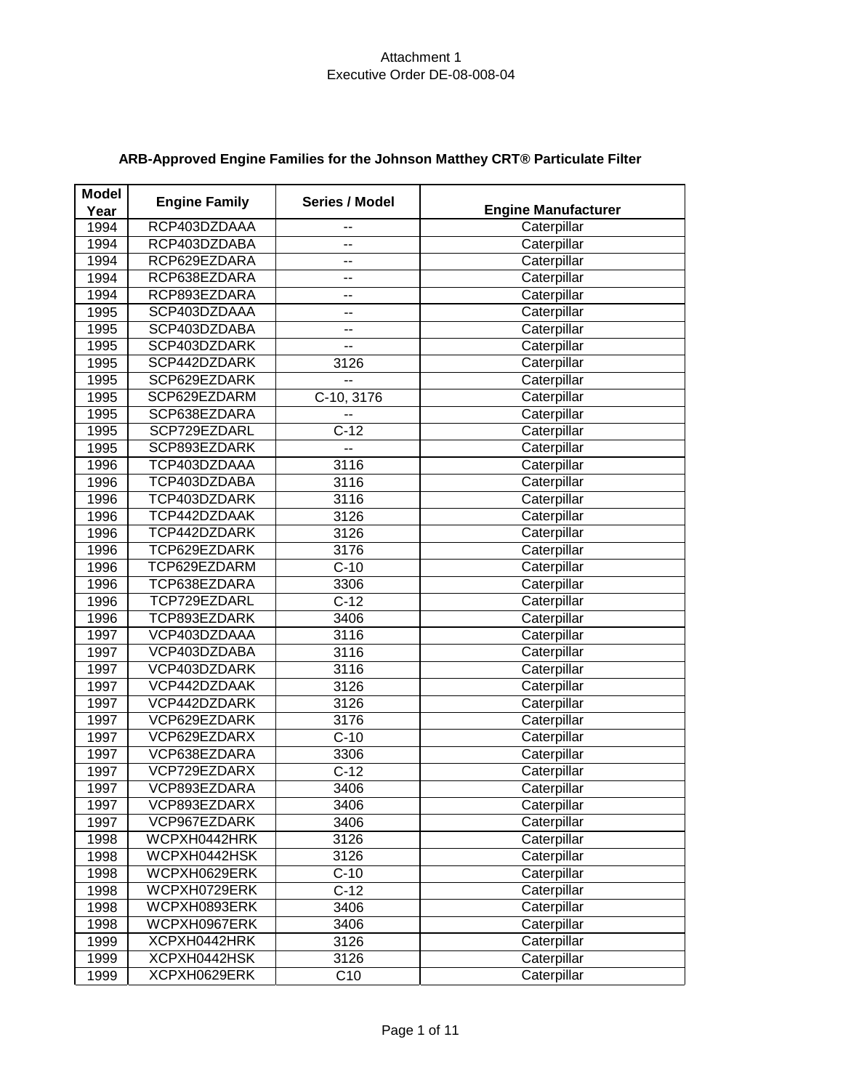| <b>Engine Manufacturer</b> |
|----------------------------|
| Caterpillar                |
| Caterpillar                |
| Caterpillar                |
| Caterpillar                |
| Caterpillar                |
| Caterpillar                |
| Caterpillar                |
| Caterpillar                |
| Caterpillar                |
| Caterpillar                |
| Caterpillar                |
| Caterpillar                |
| Caterpillar                |
| Caterpillar                |
| Caterpillar                |
| Caterpillar                |
| Caterpillar                |
| Caterpillar                |
| Caterpillar                |
| Caterpillar                |
| Caterpillar                |
| Caterpillar                |
| Caterpillar                |
| Caterpillar                |
| Caterpillar                |
| Caterpillar                |
| Caterpillar                |
| Caterpillar                |
| Caterpillar                |
| Caterpillar                |
| Caterpillar                |
| Caterpillar                |
| Caterpillar                |
| Caterpillar                |
| Caterpillar                |
| Caterpillar                |
| Caterpillar                |
| Caterpillar                |
| Caterpillar                |
| Caterpillar                |
| Caterpillar                |
| Caterpillar                |
| Caterpillar                |
| Caterpillar                |
| Caterpillar                |
|                            |

# **ARB-Approved Engine Families for the Johnson Matthey CRT® Particulate Filter**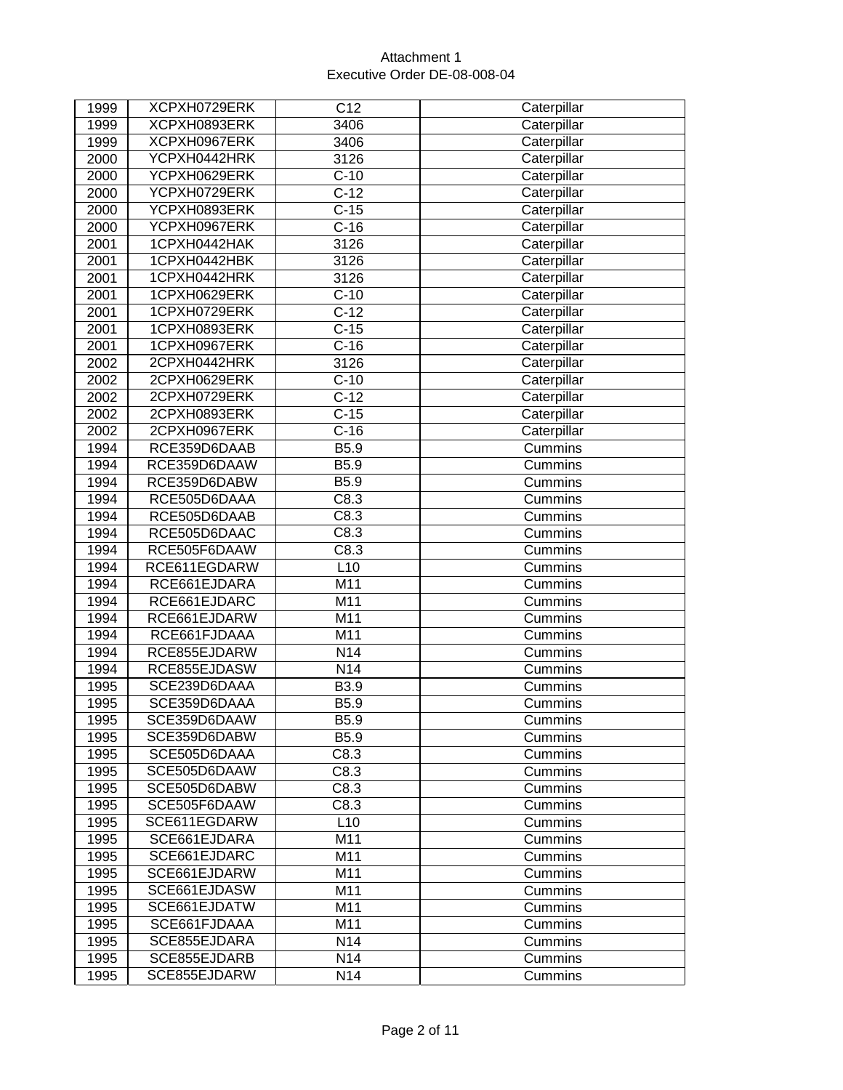| 1999 | XCPXH0729ERK | C12             | Caterpillar |
|------|--------------|-----------------|-------------|
| 1999 | XCPXH0893ERK | 3406            | Caterpillar |
| 1999 | XCPXH0967ERK | 3406            | Caterpillar |
| 2000 | YCPXH0442HRK | 3126            | Caterpillar |
| 2000 | YCPXH0629ERK | $C-10$          | Caterpillar |
| 2000 | YCPXH0729ERK | $C-12$          | Caterpillar |
| 2000 | YCPXH0893ERK | $C-15$          | Caterpillar |
| 2000 | YCPXH0967ERK | $C-16$          | Caterpillar |
| 2001 | 1CPXH0442HAK | 3126            | Caterpillar |
| 2001 | 1CPXH0442HBK | 3126            | Caterpillar |
| 2001 | 1CPXH0442HRK | 3126            | Caterpillar |
| 2001 | 1CPXH0629ERK | $C-10$          | Caterpillar |
| 2001 | 1CPXH0729ERK | $C-12$          | Caterpillar |
| 2001 | 1CPXH0893ERK | $C-15$          | Caterpillar |
| 2001 | 1CPXH0967ERK | $C-16$          | Caterpillar |
| 2002 | 2CPXH0442HRK | 3126            | Caterpillar |
| 2002 | 2CPXH0629ERK | $C-10$          | Caterpillar |
| 2002 | 2CPXH0729ERK | $C-12$          | Caterpillar |
| 2002 | 2CPXH0893ERK | $C-15$          | Caterpillar |
| 2002 | 2CPXH0967ERK | $C-16$          | Caterpillar |
| 1994 | RCE359D6DAAB | B5.9            | Cummins     |
| 1994 | RCE359D6DAAW | B5.9            | Cummins     |
| 1994 | RCE359D6DABW | B5.9            | Cummins     |
| 1994 | RCE505D6DAAA | C8.3            | Cummins     |
| 1994 | RCE505D6DAAB | C8.3            | Cummins     |
| 1994 | RCE505D6DAAC | C8.3            | Cummins     |
| 1994 | RCE505F6DAAW | C8.3            | Cummins     |
| 1994 | RCE611EGDARW | L10             | Cummins     |
| 1994 | RCE661EJDARA | M11             | Cummins     |
| 1994 | RCE661EJDARC | M11             | Cummins     |
| 1994 | RCE661EJDARW | M11             | Cummins     |
| 1994 | RCE661FJDAAA | M11             | Cummins     |
| 1994 | RCE855EJDARW | N <sub>14</sub> | Cummins     |
| 1994 | RCE855EJDASW | N14             | Cummins     |
| 1995 | SCE239D6DAAA | B3.9            | Cummins     |
| 1995 | SCE359D6DAAA | B5.9            | Cummins     |
| 1995 | SCE359D6DAAW | B5.9            | Cummins     |
| 1995 | SCE359D6DABW | B5.9            | Cummins     |
| 1995 | SCE505D6DAAA | C8.3            | Cummins     |
| 1995 | SCE505D6DAAW | C8.3            | Cummins     |
| 1995 | SCE505D6DABW | C8.3            | Cummins     |
| 1995 | SCE505F6DAAW | C8.3            | Cummins     |
| 1995 | SCE611EGDARW | L10             | Cummins     |
| 1995 | SCE661EJDARA | M11             | Cummins     |
| 1995 | SCE661EJDARC | M11             | Cummins     |
| 1995 | SCE661EJDARW | M11             | Cummins     |
| 1995 | SCE661EJDASW | M11             | Cummins     |
| 1995 | SCE661EJDATW | M11             | Cummins     |
| 1995 | SCE661FJDAAA | M11             | Cummins     |
| 1995 | SCE855EJDARA | N14             | Cummins     |
| 1995 | SCE855EJDARB | N14             | Cummins     |
| 1995 | SCE855EJDARW | N <sub>14</sub> | Cummins     |
|      |              |                 |             |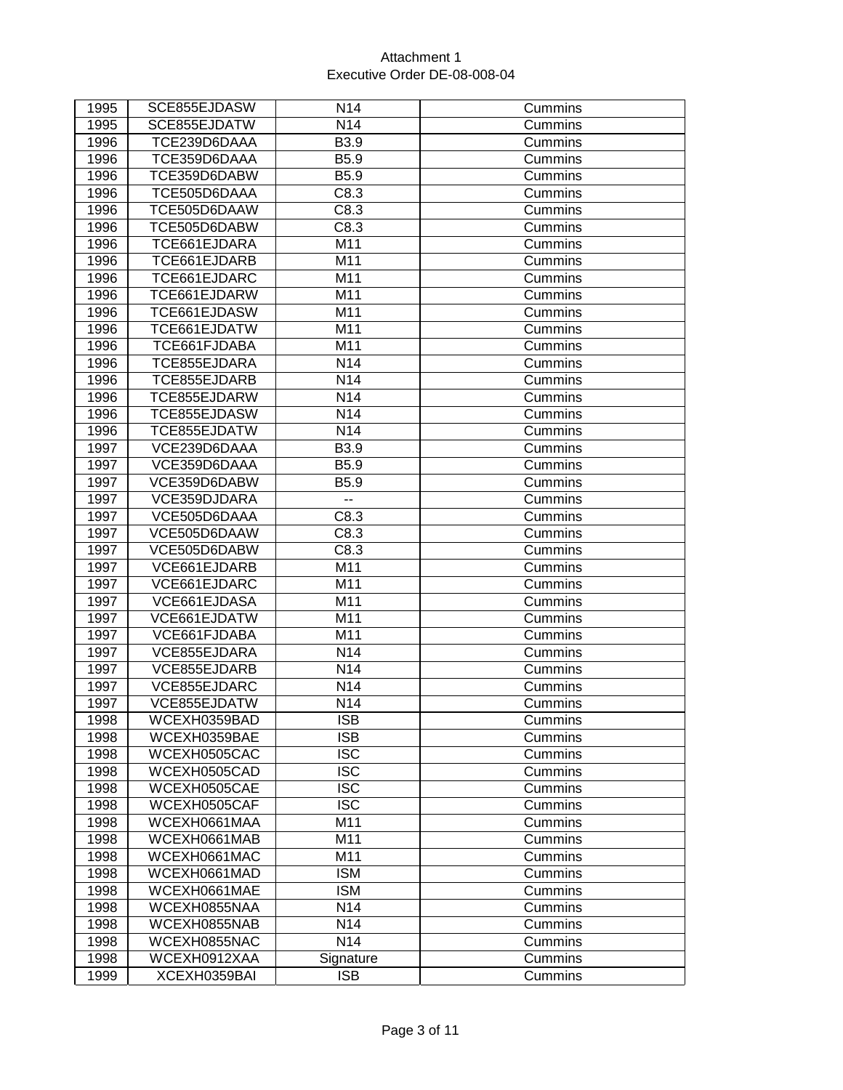| 1995 | SCE855EJDASW | N <sub>14</sub> | Cummins |
|------|--------------|-----------------|---------|
| 1995 | SCE855EJDATW | N14             | Cummins |
| 1996 | TCE239D6DAAA | B3.9            | Cummins |
| 1996 | TCE359D6DAAA | B5.9            | Cummins |
| 1996 | TCE359D6DABW | B5.9            | Cummins |
| 1996 | TCE505D6DAAA | C8.3            | Cummins |
| 1996 | TCE505D6DAAW | C8.3            | Cummins |
| 1996 | TCE505D6DABW | C8.3            | Cummins |
| 1996 | TCE661EJDARA | M11             | Cummins |
| 1996 | TCE661EJDARB | M11             | Cummins |
| 1996 | TCE661EJDARC | M11             | Cummins |
| 1996 | TCE661EJDARW | M11             | Cummins |
| 1996 | TCE661EJDASW | M11             | Cummins |
| 1996 | TCE661EJDATW | M11             | Cummins |
| 1996 | TCE661FJDABA | M11             | Cummins |
| 1996 | TCE855EJDARA | N14             | Cummins |
| 1996 | TCE855EJDARB | N14             | Cummins |
| 1996 | TCE855EJDARW | N14             | Cummins |
| 1996 | TCE855EJDASW | N14             | Cummins |
| 1996 | TCE855EJDATW | N14             | Cummins |
| 1997 | VCE239D6DAAA | B3.9            | Cummins |
| 1997 | VCE359D6DAAA | B5.9            | Cummins |
| 1997 | VCE359D6DABW | B5.9            | Cummins |
| 1997 | VCE359DJDARA | --              | Cummins |
| 1997 | VCE505D6DAAA | C8.3            | Cummins |
| 1997 | VCE505D6DAAW | C8.3            | Cummins |
| 1997 | VCE505D6DABW | C8.3            | Cummins |
| 1997 | VCE661EJDARB | M11             | Cummins |
| 1997 | VCE661EJDARC | M11             | Cummins |
| 1997 | VCE661EJDASA | M11             | Cummins |
| 1997 | VCE661EJDATW | M11             | Cummins |
| 1997 | VCE661FJDABA | M11             | Cummins |
| 1997 | VCE855EJDARA | N14             | Cummins |
| 1997 | VCE855EJDARB | N14             | Cummins |
| 1997 | VCE855EJDARC | N14             | Cummins |
| 1997 | VCE855EJDATW | N <sub>14</sub> | Cummins |
| 1998 | WCEXH0359BAD | <b>ISB</b>      | Cummins |
| 1998 | WCEXH0359BAE | <b>ISB</b>      | Cummins |
| 1998 | WCEXH0505CAC | <b>ISC</b>      | Cummins |
| 1998 | WCEXH0505CAD | <b>ISC</b>      | Cummins |
| 1998 | WCEXH0505CAE | <b>ISC</b>      | Cummins |
| 1998 | WCEXH0505CAF | <b>ISC</b>      | Cummins |
| 1998 | WCEXH0661MAA | M11             | Cummins |
| 1998 | WCEXH0661MAB | M11             | Cummins |
| 1998 | WCEXH0661MAC | M11             | Cummins |
| 1998 | WCEXH0661MAD | <b>ISM</b>      | Cummins |
| 1998 | WCEXH0661MAE | <b>ISM</b>      | Cummins |
| 1998 | WCEXH0855NAA | N <sub>14</sub> | Cummins |
| 1998 | WCEXH0855NAB | N14             | Cummins |
| 1998 | WCEXH0855NAC | N14             | Cummins |
| 1998 | WCEXH0912XAA | Signature       | Cummins |
| 1999 | XCEXH0359BAI | <b>ISB</b>      | Cummins |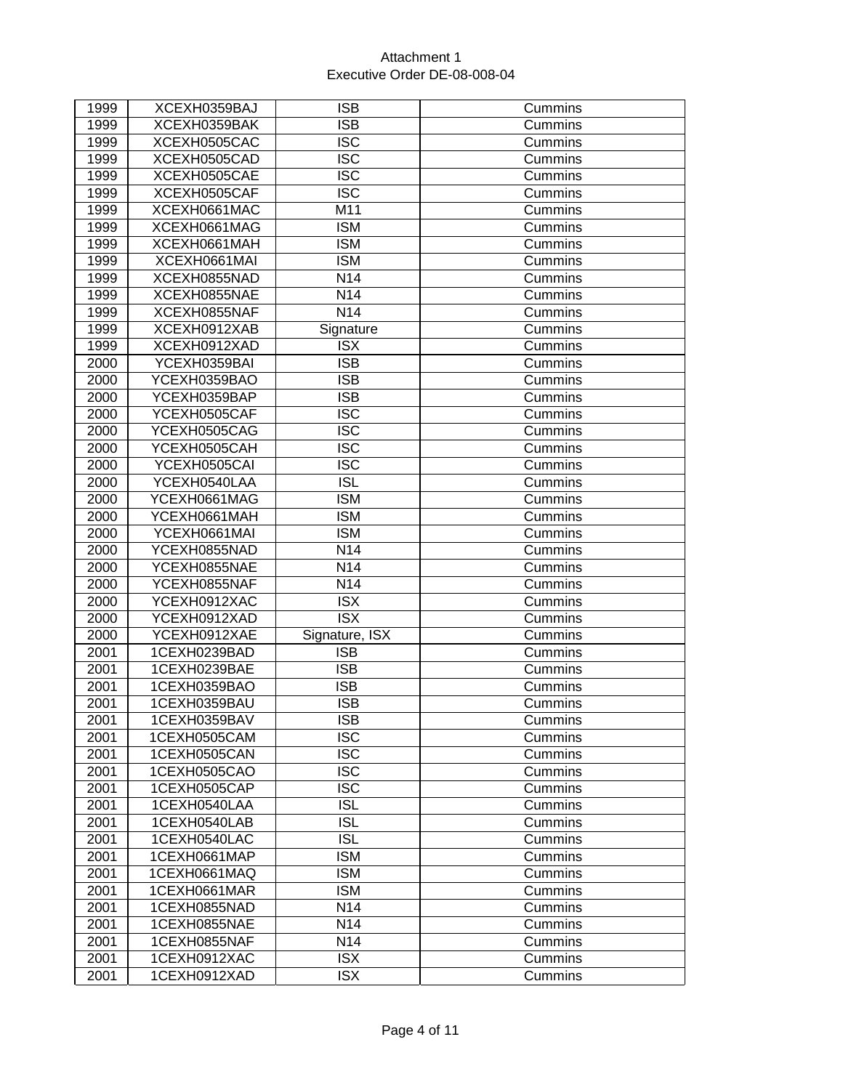| 1999 | XCEXH0359BAJ | <b>ISB</b>      | Cummins |
|------|--------------|-----------------|---------|
| 1999 | XCEXH0359BAK | <b>ISB</b>      | Cummins |
| 1999 | XCEXH0505CAC | <b>ISC</b>      | Cummins |
| 1999 | XCEXH0505CAD | <b>ISC</b>      | Cummins |
| 1999 | XCEXH0505CAE | <b>ISC</b>      | Cummins |
| 1999 | XCEXH0505CAF | <b>ISC</b>      | Cummins |
| 1999 | XCEXH0661MAC | M11             | Cummins |
| 1999 | XCEXH0661MAG | <b>ISM</b>      | Cummins |
| 1999 | XCEXH0661MAH | <b>ISM</b>      | Cummins |
| 1999 | XCEXH0661MAI | <b>ISM</b>      | Cummins |
| 1999 | XCEXH0855NAD | N14             | Cummins |
| 1999 | XCEXH0855NAE | N14             | Cummins |
| 1999 | XCEXH0855NAF | N <sub>14</sub> | Cummins |
| 1999 | XCEXH0912XAB | Signature       | Cummins |
| 1999 | XCEXH0912XAD | <b>ISX</b>      | Cummins |
| 2000 | YCEXH0359BAI | <b>ISB</b>      | Cummins |
| 2000 | YCEXH0359BAO | <b>ISB</b>      | Cummins |
| 2000 | YCEXH0359BAP | <b>ISB</b>      | Cummins |
| 2000 | YCEXH0505CAF | <b>ISC</b>      | Cummins |
| 2000 | YCEXH0505CAG | <b>ISC</b>      | Cummins |
| 2000 | YCEXH0505CAH | <b>ISC</b>      | Cummins |
| 2000 | YCEXH0505CAI | <b>ISC</b>      | Cummins |
| 2000 | YCEXH0540LAA | <b>ISL</b>      | Cummins |
| 2000 | YCEXH0661MAG | <b>ISM</b>      | Cummins |
| 2000 | YCEXH0661MAH | <b>ISM</b>      | Cummins |
| 2000 | YCEXH0661MAI | <b>ISM</b>      | Cummins |
| 2000 | YCEXH0855NAD | N14             | Cummins |
| 2000 | YCEXH0855NAE | N14             | Cummins |
| 2000 | YCEXH0855NAF | N14             | Cummins |
| 2000 | YCEXH0912XAC | <b>ISX</b>      | Cummins |
| 2000 | YCEXH0912XAD | <b>ISX</b>      | Cummins |
| 2000 | YCEXH0912XAE | Signature, ISX  | Cummins |
| 2001 | 1CEXH0239BAD | <b>ISB</b>      | Cummins |
| 2001 | 1CEXH0239BAE | <b>ISB</b>      | Cummins |
| 2001 | 1CEXH0359BAO | <b>ISB</b>      | Cummins |
| 2001 | 1CEXH0359BAU | <b>ISB</b>      | Cummins |
| 2001 | 1CEXH0359BAV | <b>ISB</b>      | Cummins |
| 2001 | 1CEXH0505CAM | <b>ISC</b>      | Cummins |
| 2001 | 1CEXH0505CAN | <b>ISC</b>      | Cummins |
| 2001 | 1CEXH0505CAO | <b>ISC</b>      | Cummins |
| 2001 | 1CEXH0505CAP | <b>ISC</b>      | Cummins |
| 2001 | 1CEXH0540LAA | <b>ISL</b>      | Cummins |
| 2001 | 1CEXH0540LAB | <b>ISL</b>      | Cummins |
| 2001 | 1CEXH0540LAC | <b>ISL</b>      | Cummins |
| 2001 | 1CEXH0661MAP | <b>ISM</b>      | Cummins |
| 2001 | 1CEXH0661MAQ | <b>ISM</b>      | Cummins |
| 2001 | 1CEXH0661MAR | <b>ISM</b>      | Cummins |
| 2001 | 1CEXH0855NAD | N <sub>14</sub> | Cummins |
| 2001 | 1CEXH0855NAE | N14             | Cummins |
| 2001 | 1CEXH0855NAF | N14             | Cummins |
| 2001 | 1CEXH0912XAC | <b>ISX</b>      | Cummins |
| 2001 | 1CEXH0912XAD | <b>ISX</b>      | Cummins |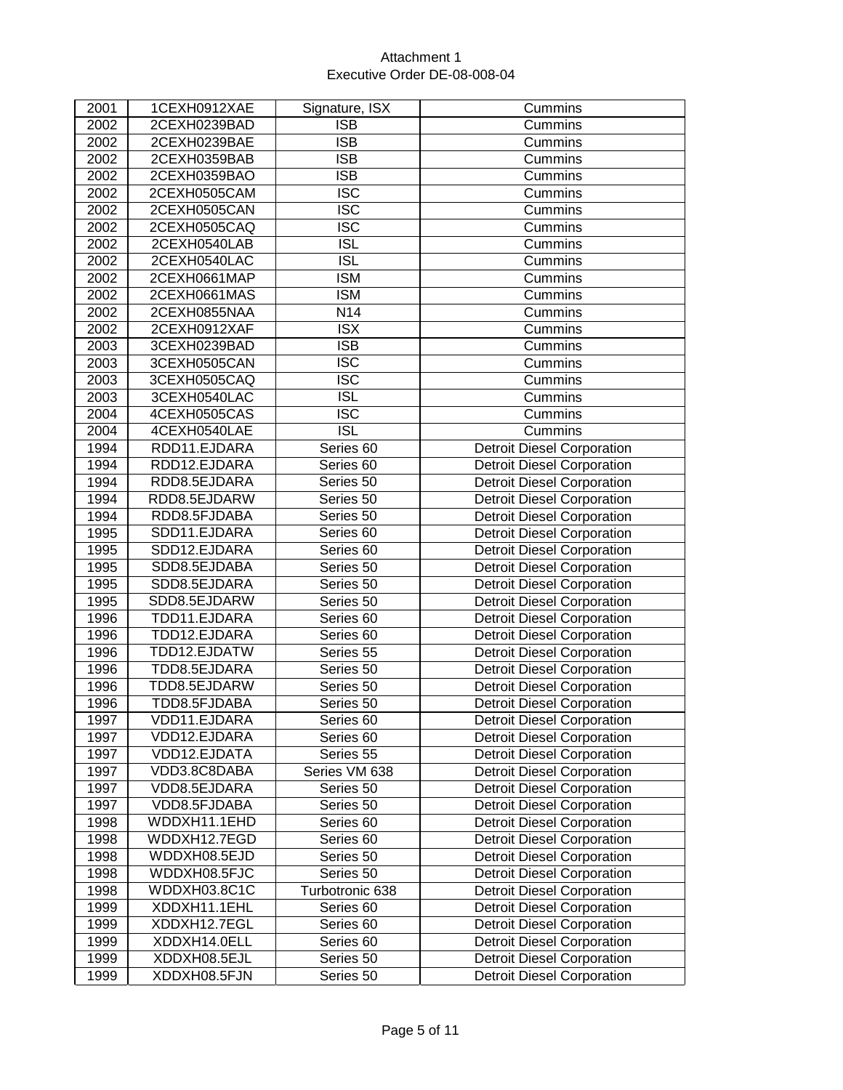| 2001              | 1CEXH0912XAE | Signature, ISX          | Cummins                           |
|-------------------|--------------|-------------------------|-----------------------------------|
| 2002              | 2CEXH0239BAD | <b>ISB</b>              | Cummins                           |
| 2002              | 2CEXH0239BAE | <b>ISB</b>              | Cummins                           |
| 2002              | 2CEXH0359BAB | <b>ISB</b>              | Cummins                           |
| 2002              | 2CEXH0359BAO | <b>ISB</b>              | Cummins                           |
| 2002              | 2CEXH0505CAM | $\overline{\text{ISC}}$ | Cummins                           |
| 2002              | 2CEXH0505CAN | <b>ISC</b>              | Cummins                           |
| 2002              | 2CEXH0505CAQ | <b>ISC</b>              | Cummins                           |
| 2002              | 2CEXH0540LAB | <b>ISL</b>              | Cummins                           |
| 2002              | 2CEXH0540LAC | $\overline{ISL}$        | Cummins                           |
| $\overline{2002}$ | 2CEXH0661MAP | <b>ISM</b>              | Cummins                           |
| 2002              | 2CEXH0661MAS | <b>ISM</b>              | Cummins                           |
| 2002              | 2CEXH0855NAA | N14                     | Cummins                           |
| $\overline{20}02$ | 2CEXH0912XAF | $\overline{\text{ISX}}$ | Cummins                           |
| 2003              | 3CEXH0239BAD | $\overline{\text{ISB}}$ | Cummins                           |
| 2003              | 3CEXH0505CAN | <b>ISC</b>              | Cummins                           |
| 2003              | 3CEXH0505CAQ | $\overline{\text{ISC}}$ | Cummins                           |
| 2003              | 3CEXH0540LAC | <b>ISL</b>              | Cummins                           |
| 2004              | 4CEXH0505CAS | <b>ISC</b>              | Cummins                           |
| 2004              | 4CEXH0540LAE | <b>ISL</b>              | Cummins                           |
| 1994              | RDD11.EJDARA | Series 60               | <b>Detroit Diesel Corporation</b> |
| 1994              | RDD12.EJDARA | Series 60               | <b>Detroit Diesel Corporation</b> |
| 1994              | RDD8.5EJDARA | Series 50               | <b>Detroit Diesel Corporation</b> |
| 1994              | RDD8.5EJDARW | Series 50               | <b>Detroit Diesel Corporation</b> |
| 1994              | RDD8.5FJDABA | Series 50               | <b>Detroit Diesel Corporation</b> |
| 1995              | SDD11.EJDARA | Series 60               | <b>Detroit Diesel Corporation</b> |
| 1995              | SDD12.EJDARA | Series 60               | <b>Detroit Diesel Corporation</b> |
| 1995              | SDD8.5EJDABA | Series 50               | <b>Detroit Diesel Corporation</b> |
| 1995              | SDD8.5EJDARA | Series 50               | <b>Detroit Diesel Corporation</b> |
| 1995              | SDD8.5EJDARW | Series 50               | <b>Detroit Diesel Corporation</b> |
| 1996              | TDD11.EJDARA | Series 60               | <b>Detroit Diesel Corporation</b> |
| 1996              | TDD12.EJDARA | Series 60               | <b>Detroit Diesel Corporation</b> |
| 1996              | TDD12.EJDATW | Series 55               | <b>Detroit Diesel Corporation</b> |
| 1996              | TDD8.5EJDARA | Series 50               | <b>Detroit Diesel Corporation</b> |
| 1996              | TDD8.5EJDARW | Series 50               | <b>Detroit Diesel Corporation</b> |
| 1996              | TDD8.5FJDABA | Series 50               | <b>Detroit Diesel Corporation</b> |
| 1997              | VDD11.EJDARA | Series 60               | <b>Detroit Diesel Corporation</b> |
| 1997              | VDD12.EJDARA | Series 60               | <b>Detroit Diesel Corporation</b> |
| 1997              | VDD12.EJDATA | Series 55               | <b>Detroit Diesel Corporation</b> |
| 1997              | VDD3.8C8DABA | Series VM 638           | <b>Detroit Diesel Corporation</b> |
| 1997              | VDD8.5EJDARA | Series 50               | <b>Detroit Diesel Corporation</b> |
| 1997              | VDD8.5FJDABA | Series 50               | <b>Detroit Diesel Corporation</b> |
| 1998              | WDDXH11.1EHD | Series 60               | <b>Detroit Diesel Corporation</b> |
| 1998              | WDDXH12.7EGD | Series 60               | <b>Detroit Diesel Corporation</b> |
| 1998              | WDDXH08.5EJD | Series 50               | <b>Detroit Diesel Corporation</b> |
| 1998              | WDDXH08.5FJC | Series 50               | <b>Detroit Diesel Corporation</b> |
| 1998              | WDDXH03.8C1C | Turbotronic 638         | <b>Detroit Diesel Corporation</b> |
| 1999              | XDDXH11.1EHL | Series 60               | <b>Detroit Diesel Corporation</b> |
| 1999              | XDDXH12.7EGL | Series 60               | <b>Detroit Diesel Corporation</b> |
| 1999              | XDDXH14.0ELL | Series 60               | <b>Detroit Diesel Corporation</b> |
| 1999              | XDDXH08.5EJL | Series 50               | <b>Detroit Diesel Corporation</b> |
| 1999              | XDDXH08.5FJN | Series 50               | <b>Detroit Diesel Corporation</b> |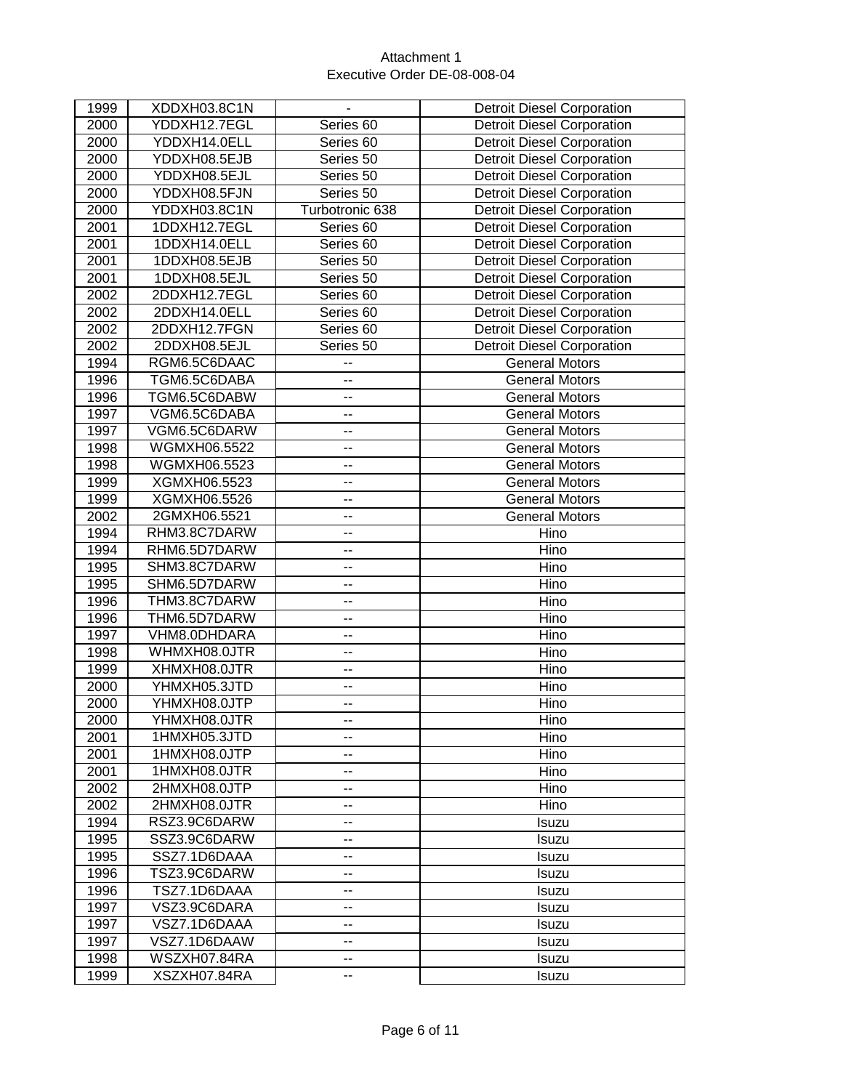| 1999 | XDDXH03.8C1N | $\blacksquare$           | <b>Detroit Diesel Corporation</b> |
|------|--------------|--------------------------|-----------------------------------|
| 2000 | YDDXH12.7EGL | Series 60                | <b>Detroit Diesel Corporation</b> |
| 2000 | YDDXH14.0ELL | Series 60                | <b>Detroit Diesel Corporation</b> |
| 2000 | YDDXH08.5EJB | Series 50                | <b>Detroit Diesel Corporation</b> |
| 2000 | YDDXH08.5EJL | Series 50                | <b>Detroit Diesel Corporation</b> |
| 2000 | YDDXH08.5FJN | Series 50                | <b>Detroit Diesel Corporation</b> |
| 2000 | YDDXH03.8C1N | Turbotronic 638          | <b>Detroit Diesel Corporation</b> |
| 2001 | 1DDXH12.7EGL | Series 60                | <b>Detroit Diesel Corporation</b> |
| 2001 | 1DDXH14.0ELL | Series 60                | <b>Detroit Diesel Corporation</b> |
| 2001 | 1DDXH08.5EJB | Series 50                | <b>Detroit Diesel Corporation</b> |
| 2001 | 1DDXH08.5EJL | Series 50                | <b>Detroit Diesel Corporation</b> |
| 2002 | 2DDXH12.7EGL | Series 60                | <b>Detroit Diesel Corporation</b> |
| 2002 | 2DDXH14.0ELL | Series 60                | <b>Detroit Diesel Corporation</b> |
| 2002 | 2DDXH12.7FGN | Series 60                | <b>Detroit Diesel Corporation</b> |
| 2002 | 2DDXH08.5EJL | Series 50                | <b>Detroit Diesel Corporation</b> |
| 1994 | RGM6.5C6DAAC | --                       | <b>General Motors</b>             |
| 1996 | TGM6.5C6DABA | --                       | <b>General Motors</b>             |
| 1996 | TGM6.5C6DABW | --                       | <b>General Motors</b>             |
| 1997 | VGM6.5C6DABA | $\overline{\phantom{a}}$ | <b>General Motors</b>             |
| 1997 | VGM6.5C6DARW | ۰.                       | <b>General Motors</b>             |
| 1998 | WGMXH06.5522 | --                       | <b>General Motors</b>             |
| 1998 | WGMXH06.5523 | --                       | <b>General Motors</b>             |
| 1999 | XGMXH06.5523 | ۰.                       | <b>General Motors</b>             |
| 1999 | XGMXH06.5526 | --                       | <b>General Motors</b>             |
| 2002 | 2GMXH06.5521 | --                       | <b>General Motors</b>             |
| 1994 | RHM3.8C7DARW | --                       | Hino                              |
| 1994 | RHM6.5D7DARW | --                       | Hino                              |
| 1995 | SHM3.8C7DARW | Ξ.                       | Hino                              |
| 1995 | SHM6.5D7DARW | --                       | Hino                              |
| 1996 | THM3.8C7DARW | --                       | Hino                              |
| 1996 | THM6.5D7DARW | $\overline{\phantom{a}}$ | Hino                              |
| 1997 | VHM8.0DHDARA | --                       | Hino                              |
| 1998 | WHMXH08.0JTR | --                       | Hino                              |
| 1999 | XHMXH08.0JTR | --                       | Hino                              |
| 2000 | YHMXH05.3JTD | --                       | Hino                              |
| 2000 | YHMXH08.0JTP | --                       | Hino                              |
| 2000 | YHMXH08.0JTR | --                       | Hino                              |
| 2001 | 1HMXH05.3JTD | --                       | Hino                              |
| 2001 | 1HMXH08.0JTP | $\overline{\phantom{a}}$ | Hino                              |
| 2001 | 1HMXH08.0JTR | ۰.                       | Hino                              |
| 2002 | 2HMXH08.0JTP | --                       | Hino                              |
| 2002 | 2HMXH08.0JTR | --                       | Hino                              |
| 1994 | RSZ3.9C6DARW | --                       | Isuzu                             |
| 1995 | SSZ3.9C6DARW | --                       | Isuzu                             |
| 1995 | SSZ7.1D6DAAA | --                       | Isuzu                             |
| 1996 | TSZ3.9C6DARW | --                       | Isuzu                             |
| 1996 | TSZ7.1D6DAAA | --                       | Isuzu                             |
| 1997 | VSZ3.9C6DARA | --                       | Isuzu                             |
| 1997 | VSZ7.1D6DAAA | --                       | Isuzu                             |
| 1997 | VSZ7.1D6DAAW | --                       | <b>Isuzu</b>                      |
| 1998 | WSZXH07.84RA | --                       | Isuzu                             |
| 1999 | XSZXH07.84RA | --                       | Isuzu                             |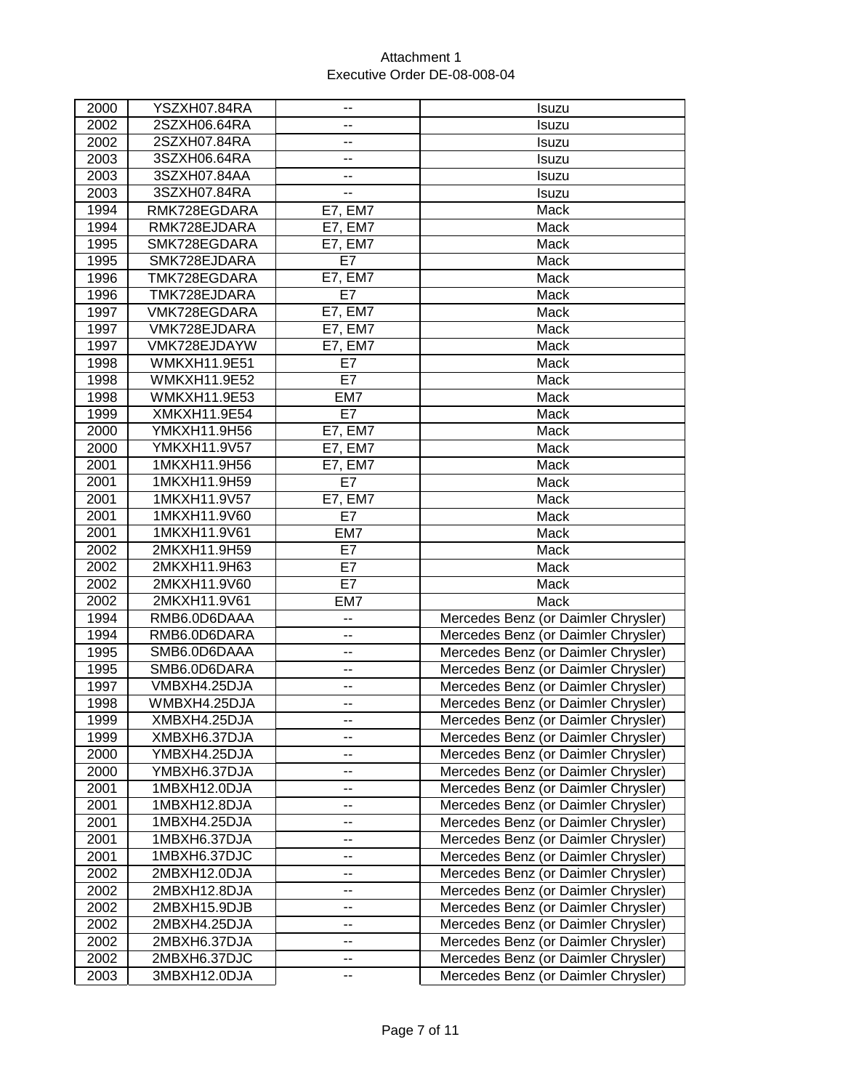| 2000 | YSZXH07.84RA        | --             | Isuzu                               |
|------|---------------------|----------------|-------------------------------------|
| 2002 | 2SZXH06.64RA        | $-$            | Isuzu                               |
| 2002 | 2SZXH07.84RA        | --             | Isuzu                               |
| 2003 | 3SZXH06.64RA        | --             | Isuzu                               |
| 2003 | 3SZXH07.84AA        | --             | Isuzu                               |
| 2003 | 3SZXH07.84RA        | --             | Isuzu                               |
| 1994 | RMK728EGDARA        | <b>E7, EM7</b> | Mack                                |
| 1994 | RMK728EJDARA        | <b>E7, EM7</b> | Mack                                |
| 1995 | SMK728EGDARA        | E7, EM7        | <b>Mack</b>                         |
| 1995 | SMK728EJDARA        | E7             | Mack                                |
| 1996 | TMK728EGDARA        | <b>E7, EM7</b> | Mack                                |
| 1996 | TMK728EJDARA        | E7             | Mack                                |
| 1997 | VMK728EGDARA        | <b>E7, EM7</b> | Mack                                |
| 1997 | VMK728EJDARA        | <b>E7, EM7</b> | Mack                                |
| 1997 | VMK728EJDAYW        | <b>E7, EM7</b> | Mack                                |
| 1998 | <b>WMKXH11.9E51</b> | E7             | Mack                                |
| 1998 | <b>WMKXH11.9E52</b> | E7             | Mack                                |
| 1998 | WMKXH11.9E53        | EM7            | Mack                                |
| 1999 | XMKXH11.9E54        | E7             | Mack                                |
| 2000 | YMKXH11.9H56        | <b>E7, EM7</b> | Mack                                |
| 2000 | YMKXH11.9V57        | <b>E7, EM7</b> | Mack                                |
| 2001 | 1MKXH11.9H56        | E7, EM7        | Mack                                |
| 2001 | 1MKXH11.9H59        | E7             | Mack                                |
| 2001 | 1MKXH11.9V57        | E7, EM7        | Mack                                |
| 2001 | 1MKXH11.9V60        | E7             | Mack                                |
| 2001 | 1MKXH11.9V61        | EM7            | Mack                                |
| 2002 | 2MKXH11.9H59        | E7             | Mack                                |
| 2002 | 2MKXH11.9H63        | E7             | Mack                                |
| 2002 | 2MKXH11.9V60        | E7             | Mack                                |
| 2002 | 2MKXH11.9V61        | EM7            | Mack                                |
| 1994 | RMB6.0D6DAAA        | --             | Mercedes Benz (or Daimler Chrysler) |
| 1994 | RMB6.0D6DARA        | --             | Mercedes Benz (or Daimler Chrysler) |
| 1995 | SMB6.0D6DAAA        | --             | Mercedes Benz (or Daimler Chrysler) |
| 1995 | SMB6.0D6DARA        | --             | Mercedes Benz (or Daimler Chrysler) |
| 1997 | VMBXH4.25DJA        | --             | Mercedes Benz (or Daimler Chrysler) |
| 1998 | WMBXH4.25DJA        | --             | Mercedes Benz (or Daimler Chrysler) |
| 1999 | XMBXH4.25DJA        | --             | Mercedes Benz (or Daimler Chrysler) |
| 1999 | XMBXH6.37DJA        | --             | Mercedes Benz (or Daimler Chrysler) |
| 2000 | YMBXH4.25DJA        | --             | Mercedes Benz (or Daimler Chrysler) |
| 2000 | YMBXH6.37DJA        | --             | Mercedes Benz (or Daimler Chrysler) |
| 2001 | 1MBXH12.0DJA        | ۰.             | Mercedes Benz (or Daimler Chrysler) |
| 2001 | 1MBXH12.8DJA        | --             | Mercedes Benz (or Daimler Chrysler) |
| 2001 | 1MBXH4.25DJA        | --             | Mercedes Benz (or Daimler Chrysler) |
| 2001 | 1MBXH6.37DJA        | --             | Mercedes Benz (or Daimler Chrysler) |
| 2001 | 1MBXH6.37DJC        | --             | Mercedes Benz (or Daimler Chrysler) |
| 2002 | 2MBXH12.0DJA        | --             | Mercedes Benz (or Daimler Chrysler) |
| 2002 | 2MBXH12.8DJA        | --             | Mercedes Benz (or Daimler Chrysler) |
| 2002 | 2MBXH15.9DJB        | --             | Mercedes Benz (or Daimler Chrysler) |
| 2002 | 2MBXH4.25DJA        | --             | Mercedes Benz (or Daimler Chrysler) |
| 2002 | 2MBXH6.37DJA        | --             | Mercedes Benz (or Daimler Chrysler) |
| 2002 | 2MBXH6.37DJC        | --             | Mercedes Benz (or Daimler Chrysler) |
| 2003 | 3MBXH12.0DJA        | --             | Mercedes Benz (or Daimler Chrysler) |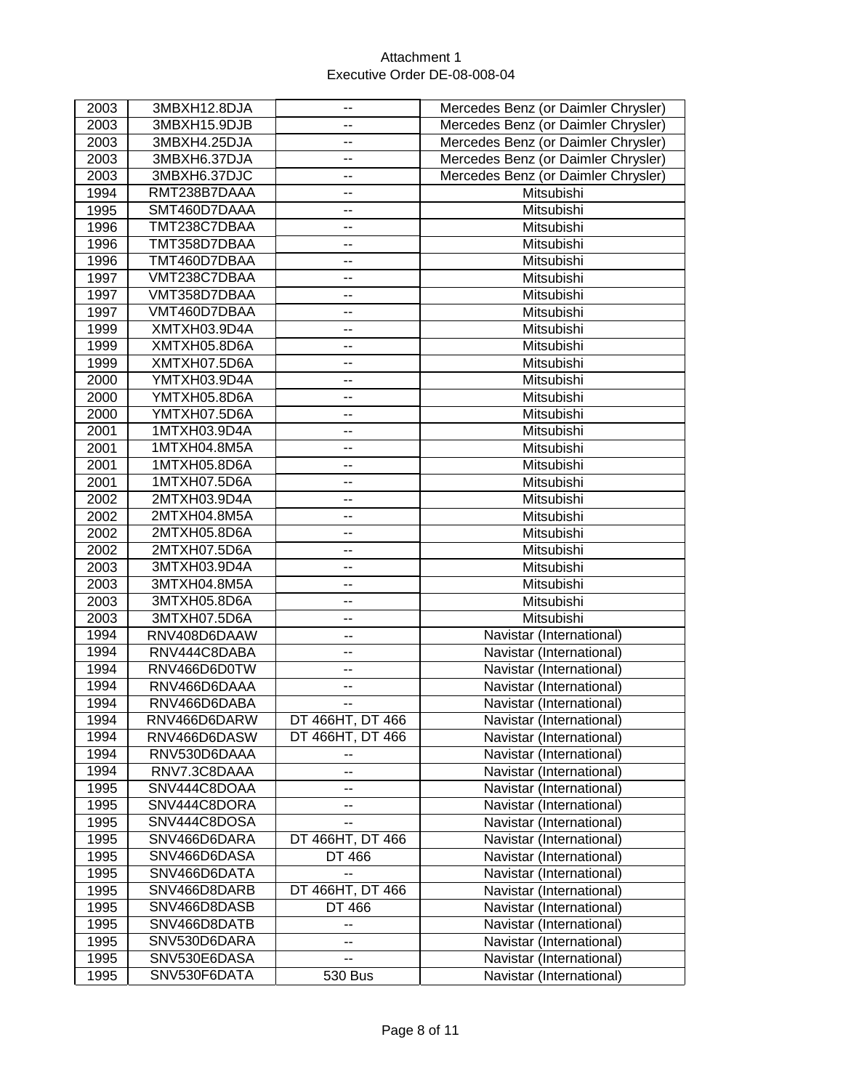| 2003 | 3MBXH12.8DJA | --               | Mercedes Benz (or Daimler Chrysler) |
|------|--------------|------------------|-------------------------------------|
| 2003 | 3MBXH15.9DJB | --               | Mercedes Benz (or Daimler Chrysler) |
| 2003 | 3MBXH4.25DJA | --               | Mercedes Benz (or Daimler Chrysler) |
| 2003 | 3MBXH6.37DJA | --               | Mercedes Benz (or Daimler Chrysler) |
| 2003 | 3MBXH6.37DJC | --               | Mercedes Benz (or Daimler Chrysler) |
| 1994 | RMT238B7DAAA | --               | Mitsubishi                          |
| 1995 | SMT460D7DAAA | --               | Mitsubishi                          |
| 1996 | TMT238C7DBAA | --               | Mitsubishi                          |
| 1996 | TMT358D7DBAA | --               | Mitsubishi                          |
| 1996 | TMT460D7DBAA | --               | Mitsubishi                          |
| 1997 | VMT238C7DBAA | --               | Mitsubishi                          |
| 1997 | VMT358D7DBAA | --               | Mitsubishi                          |
| 1997 | VMT460D7DBAA | --               | Mitsubishi                          |
| 1999 | XMTXH03.9D4A | --               | Mitsubishi                          |
| 1999 | XMTXH05.8D6A | --               | Mitsubishi                          |
| 1999 | XMTXH07.5D6A | --               | Mitsubishi                          |
| 2000 | YMTXH03.9D4A | --               | Mitsubishi                          |
| 2000 | YMTXH05.8D6A | --               | Mitsubishi                          |
| 2000 | YMTXH07.5D6A | --               | Mitsubishi                          |
| 2001 | 1MTXH03.9D4A | --               | Mitsubishi                          |
| 2001 | 1MTXH04.8M5A | --               | Mitsubishi                          |
| 2001 | 1MTXH05.8D6A | --               | Mitsubishi                          |
| 2001 | 1MTXH07.5D6A | --               | Mitsubishi                          |
| 2002 | 2MTXH03.9D4A | $\overline{a}$   | Mitsubishi                          |
| 2002 | 2MTXH04.8M5A | --               | Mitsubishi                          |
| 2002 | 2MTXH05.8D6A | --               | Mitsubishi                          |
| 2002 | 2MTXH07.5D6A | --               | Mitsubishi                          |
| 2003 | 3MTXH03.9D4A | --               | Mitsubishi                          |
| 2003 | 3MTXH04.8M5A | $\overline{a}$   | Mitsubishi                          |
| 2003 | 3MTXH05.8D6A | --               | Mitsubishi                          |
| 2003 | 3MTXH07.5D6A | --               | Mitsubishi                          |
| 1994 | RNV408D6DAAW | --               | Navistar (International)            |
| 1994 | RNV444C8DABA | ۰.               | Navistar (International)            |
| 1994 | RNV466D6D0TW | --               | Navistar (International)            |
| 1994 | RNV466D6DAAA | --               | Navistar (International)            |
| 1994 | RNV466D6DABA | --               | Navistar (International)            |
| 1994 | RNV466D6DARW | DT 466HT, DT 466 | Navistar (International)            |
| 1994 | RNV466D6DASW | DT 466HT, DT 466 | Navistar (International)            |
| 1994 | RNV530D6DAAA | --               | Navistar (International)            |
| 1994 | RNV7.3C8DAAA | --               | Navistar (International)            |
| 1995 | SNV444C8DOAA | --               | Navistar (International)            |
| 1995 | SNV444C8DORA | --               | Navistar (International)            |
| 1995 | SNV444C8DOSA | --               | Navistar (International)            |
| 1995 | SNV466D6DARA | DT 466HT, DT 466 | Navistar (International)            |
| 1995 | SNV466D6DASA | DT 466           | Navistar (International)            |
| 1995 | SNV466D6DATA | --               | Navistar (International)            |
| 1995 | SNV466D8DARB | DT 466HT, DT 466 | Navistar (International)            |
| 1995 | SNV466D8DASB | DT 466           | Navistar (International)            |
| 1995 | SNV466D8DATB |                  | Navistar (International)            |
| 1995 | SNV530D6DARA | --<br>--         | Navistar (International)            |
|      | SNV530E6DASA |                  | Navistar (International)            |
| 1995 |              | --               |                                     |
| 1995 | SNV530F6DATA | 530 Bus          | Navistar (International)            |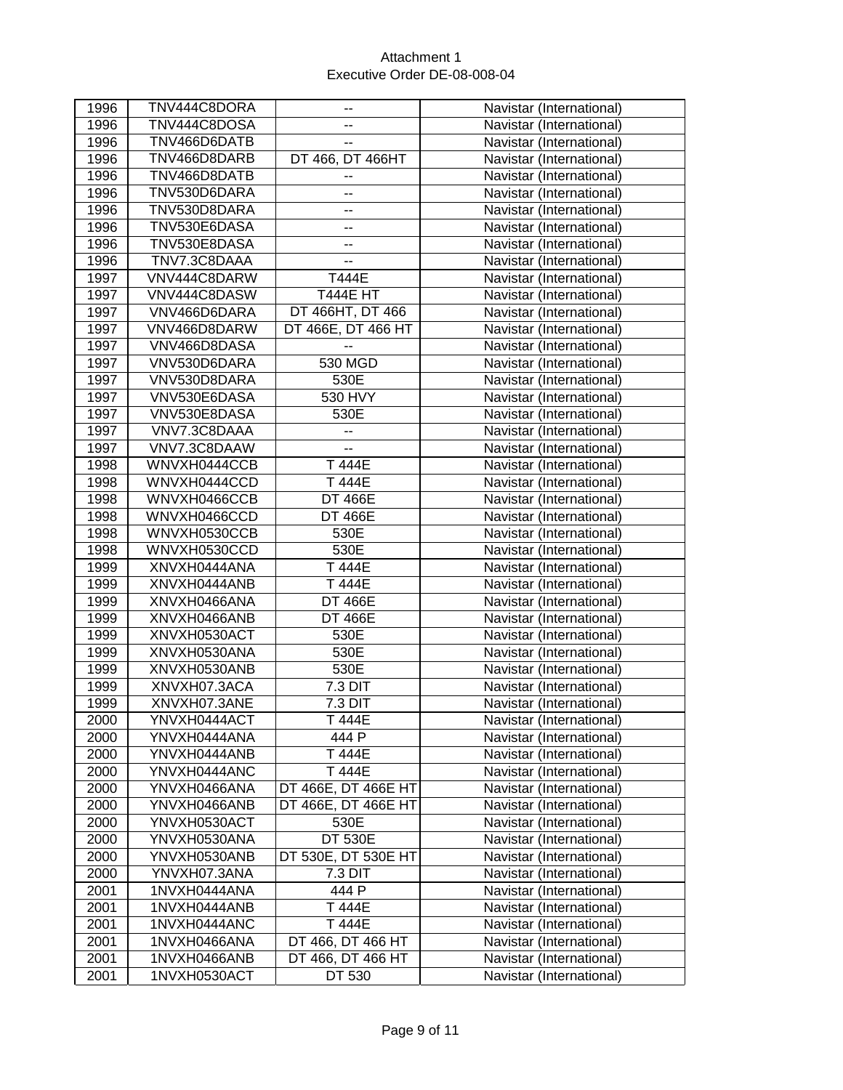| 1996 | TNV444C8DORA | ۰.                       | Navistar (International) |
|------|--------------|--------------------------|--------------------------|
| 1996 | TNV444C8DOSA |                          | Navistar (International) |
| 1996 | TNV466D6DATB | --                       | Navistar (International) |
| 1996 | TNV466D8DARB | DT 466, DT 466HT         | Navistar (International) |
| 1996 | TNV466D8DATB | ۰.                       | Navistar (International) |
| 1996 | TNV530D6DARA | ۰.                       | Navistar (International) |
| 1996 | TNV530D8DARA | -−                       | Navistar (International) |
| 1996 | TNV530E6DASA | --                       | Navistar (International) |
| 1996 | TNV530E8DASA | ۰.                       | Navistar (International) |
| 1996 | TNV7.3C8DAAA | --                       | Navistar (International) |
| 1997 | VNV444C8DARW | T444E                    | Navistar (International) |
| 1997 | VNV444C8DASW | <b>T444E HT</b>          | Navistar (International) |
| 1997 | VNV466D6DARA | DT 466HT, DT 466         | Navistar (International) |
| 1997 | VNV466D8DARW | DT 466E, DT 466 HT       | Navistar (International) |
| 1997 | VNV466D8DASA | --                       | Navistar (International) |
| 1997 | VNV530D6DARA | 530 MGD                  | Navistar (International) |
| 1997 | VNV530D8DARA | 530E                     | Navistar (International) |
| 1997 | VNV530E6DASA | 530 HVY                  | Navistar (International) |
| 1997 | VNV530E8DASA | 530E                     | Navistar (International) |
| 1997 | VNV7.3C8DAAA | --                       | Navistar (International) |
| 1997 | VNV7.3C8DAAW | $\overline{\phantom{a}}$ | Navistar (International) |
| 1998 | WNVXH0444CCB | T 444E                   | Navistar (International) |
| 1998 | WNVXH0444CCD | T 444E                   | Navistar (International) |
| 1998 | WNVXH0466CCB | <b>DT 466E</b>           | Navistar (International) |
| 1998 | WNVXH0466CCD | <b>DT 466E</b>           | Navistar (International) |
| 1998 | WNVXH0530CCB | 530E                     | Navistar (International) |
| 1998 | WNVXH0530CCD | 530E                     | Navistar (International) |
| 1999 | XNVXH0444ANA | T 444E                   | Navistar (International) |
| 1999 | XNVXH0444ANB | T 444E                   | Navistar (International) |
| 1999 | XNVXH0466ANA | <b>DT 466E</b>           | Navistar (International) |
| 1999 | XNVXH0466ANB | <b>DT 466E</b>           | Navistar (International) |
| 1999 | XNVXH0530ACT | 530E                     | Navistar (International) |
| 1999 | XNVXH0530ANA | 530E                     | Navistar (International) |
| 1999 | XNVXH0530ANB | 530E                     | Navistar (International) |
| 1999 | XNVXH07.3ACA | 7.3 DIT                  | Navistar (International) |
| 1999 | XNVXH07.3ANE | 7.3 DIT                  | Navistar (International) |
| 2000 | YNVXH0444ACT | T 444E                   | Navistar (International) |
| 2000 | YNVXH0444ANA | 444 P                    | Navistar (International) |
| 2000 | YNVXH0444ANB | T 444E                   | Navistar (International) |
| 2000 | YNVXH0444ANC | T 444E                   | Navistar (International) |
| 2000 | YNVXH0466ANA | DT 466E, DT 466E HT      | Navistar (International) |
| 2000 | YNVXH0466ANB | DT 466E, DT 466E HT      | Navistar (International) |
| 2000 | YNVXH0530ACT | 530E                     | Navistar (International) |
| 2000 | YNVXH0530ANA | <b>DT 530E</b>           | Navistar (International) |
| 2000 | YNVXH0530ANB | DT 530E, DT 530E HT      | Navistar (International) |
| 2000 | YNVXH07.3ANA | 7.3 DIT                  | Navistar (International) |
| 2001 | 1NVXH0444ANA | 444 P                    | Navistar (International) |
| 2001 | 1NVXH0444ANB | T 444E                   | Navistar (International) |
| 2001 | 1NVXH0444ANC | T 444E                   | Navistar (International) |
| 2001 | 1NVXH0466ANA | DT 466, DT 466 HT        | Navistar (International) |
| 2001 | 1NVXH0466ANB | DT 466, DT 466 HT        | Navistar (International) |
| 2001 | 1NVXH0530ACT | DT 530                   | Navistar (International) |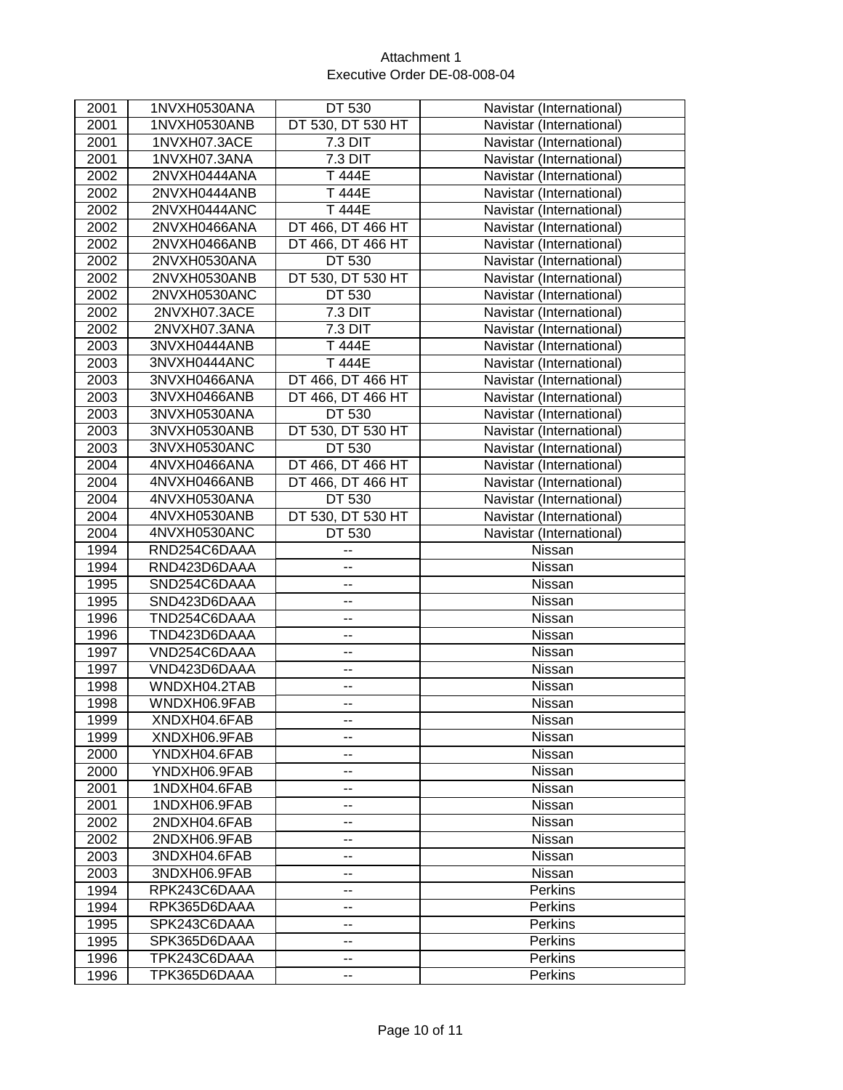| 2001         | 1NVXH0530ANA                 | DT 530                   | Navistar (International)  |
|--------------|------------------------------|--------------------------|---------------------------|
| 2001         | 1NVXH0530ANB                 | DT 530, DT 530 HT        | Navistar (International)  |
| 2001         | 1NVXH07.3ACE                 | 7.3 DIT                  | Navistar (International)  |
| 2001         | 1NVXH07.3ANA                 | 7.3 DIT                  | Navistar (International)  |
| 2002         | 2NVXH0444ANA                 | T 444E                   | Navistar (International)  |
| 2002         | 2NVXH0444ANB                 | T 444E                   | Navistar (International)  |
| 2002         | 2NVXH0444ANC                 | T 444E                   | Navistar (International)  |
| 2002         | 2NVXH0466ANA                 | DT 466, DT 466 HT        | Navistar (International)  |
| 2002         | 2NVXH0466ANB                 | DT 466, DT 466 HT        | Navistar (International)  |
| 2002         | 2NVXH0530ANA                 | DT 530                   | Navistar (International)  |
| 2002         | 2NVXH0530ANB                 | DT 530, DT 530 HT        | Navistar (International)  |
| 2002         | 2NVXH0530ANC                 | DT 530                   | Navistar (International)  |
| 2002         | 2NVXH07.3ACE                 | 7.3 DIT                  | Navistar (International)  |
| 2002         | 2NVXH07.3ANA                 | 7.3 DIT                  | Navistar (International)  |
| 2003         | 3NVXH0444ANB                 | T 444E                   | Navistar (International)  |
| 2003         | 3NVXH0444ANC                 | T 444E                   | Navistar (International)  |
| 2003         | 3NVXH0466ANA                 | DT 466, DT 466 HT        | Navistar (International)  |
| 2003         | 3NVXH0466ANB                 | DT 466, DT 466 HT        | Navistar (International)  |
| 2003         | 3NVXH0530ANA                 | DT 530                   | Navistar (International)  |
| 2003         | 3NVXH0530ANB                 | DT 530, DT 530 HT        | Navistar (International)  |
| 2003         | 3NVXH0530ANC                 | DT 530                   | Navistar (International)  |
| 2004         | 4NVXH0466ANA                 | DT 466, DT 466 HT        | Navistar (International)  |
| 2004         | 4NVXH0466ANB                 | DT 466, DT 466 HT        | Navistar (International)  |
| 2004         | 4NVXH0530ANA                 | DT 530                   | Navistar (International)  |
| 2004         | 4NVXH0530ANB                 | DT 530, DT 530 HT        | Navistar (International)  |
| 2004         | 4NVXH0530ANC                 | DT 530                   | Navistar (International)  |
| 1994         | RND254C6DAAA                 | ۰.                       | Nissan                    |
| 1994         | RND423D6DAAA                 | --                       | Nissan                    |
| 1995         | SND254C6DAAA                 | -−                       | Nissan                    |
| 1995         | SND423D6DAAA                 | --                       | Nissan                    |
| 1996         | TND254C6DAAA                 | --                       | Nissan                    |
| 1996         | TND423D6DAAA                 | --                       | Nissan                    |
| 1997         | VND254C6DAAA                 | --                       | Nissan                    |
| 1997         | VND423D6DAAA                 | --                       | Nissan                    |
| 1998         | WNDXH04.2TAB                 | --                       | Nissan                    |
| 1998         | WNDXH06.9FAB                 | --                       | Nissan                    |
| 1999         | XNDXH04.6FAB                 | --                       | Nissan                    |
| 1999         | XNDXH06.9FAB                 | --                       | Nissan                    |
| 2000         | YNDXH04.6FAB                 | $\overline{\phantom{a}}$ | Nissan                    |
| 2000         | YNDXH06.9FAB                 | --                       | Nissan                    |
| 2001         | 1NDXH04.6FAB                 | --                       | Nissan                    |
|              |                              |                          |                           |
| 2001         | 1NDXH06.9FAB                 | --                       | Nissan                    |
| 2002         | 2NDXH04.6FAB                 | --                       | Nissan                    |
| 2002         | 2NDXH06.9FAB                 | $\overline{\phantom{a}}$ | Nissan                    |
| 2003         | 3NDXH04.6FAB                 | --                       | Nissan                    |
| 2003         | 3NDXH06.9FAB                 | --                       | Nissan                    |
| 1994         | RPK243C6DAAA                 | --                       | <b>Perkins</b>            |
| 1994         | RPK365D6DAAA                 | $-$                      | Perkins                   |
| 1995         | SPK243C6DAAA                 | --                       | Perkins                   |
| 1995         | SPK365D6DAAA                 | --                       | <b>Perkins</b>            |
| 1996<br>1996 | TPK243C6DAAA<br>TPK365D6DAAA | $\overline{\phantom{a}}$ | <b>Perkins</b><br>Perkins |